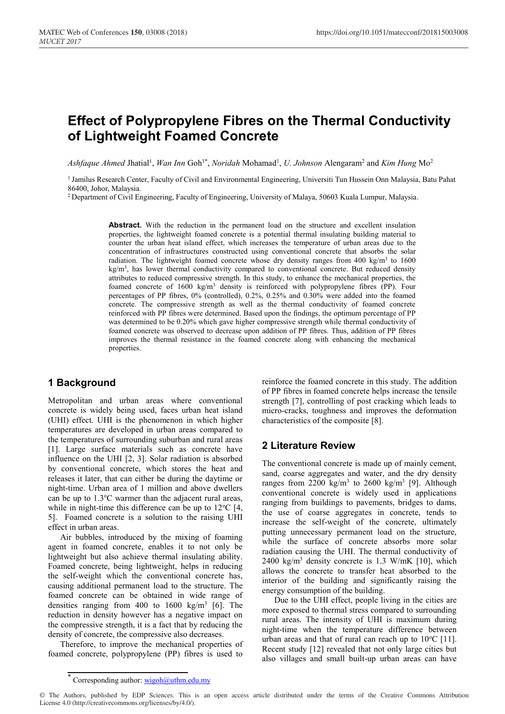# **Effect of Polypropylene Fibres on the Thermal Conductivity of Lightweight Foamed Concrete**

Ashfaque Ahmed Jhatial<sup>1</sup>, *Wan Inn* Goh<sup>1\*</sup>, *Noridah* Mohamad<sup>1</sup>, *U. Johnson* Alengaram<sup>2</sup> and *Kim Hung* Mo<sup>2</sup>

<sup>1</sup> Jamilus Research Center, Faculty of Civil and Environmental Engineering, Universiti Tun Hussein Onn Malaysia, Batu Pahat 86400, Johor, Malaysia.

<sup>2</sup> Department of Civil Engineering, Faculty of Engineering, University of Malaya, 50603 Kuala Lumpur, Malaysia.

Abstract. With the reduction in the permanent load on the structure and excellent insulation properties, the lightweight foamed concrete is a potential thermal insulating building material to counter the urban heat island effect, which increases the temperature of urban areas due to the concentration of infrastructures constructed using conventional concrete that absorbs the solar radiation. The lightweight foamed concrete whose dry density ranges from  $400 \text{ kg/m}^3$  to  $1600$  $kg/m<sup>3</sup>$ , has lower thermal conductivity compared to conventional concrete. But reduced density attributes to reduced compressive strength. In this study, to enhance the mechanical properties, the foamed concrete of 1600 kg/m3 density is reinforced with polypropylene fibres (PP). Four percentages of PP fibres, 0% (controlled), 0.2%, 0.25% and 0.30% were added into the foamed concrete. The compressive strength as well as the thermal conductivity of foamed concrete reinforced with PP fibres were determined. Based upon the findings, the optimum percentage of PP was determined to be 0.20% which gave higher compressive strength while thermal conductivity of foamed concrete was observed to decrease upon addition of PP fibres. Thus, addition of PP fibres improves the thermal resistance in the foamed concrete along with enhancing the mechanical properties.

# **1 Background**

Metropolitan and urban areas where conventional concrete is widely being used, faces urban heat island (UHI) effect. UHI is the phenomenon in which higher temperatures are developed in urban areas compared to the temperatures of surrounding suburban and rural areas [1]. Large surface materials such as concrete have influence on the UHI [2, 3]. Solar radiation is absorbed by conventional concrete, which stores the heat and releases it later, that can either be during the daytime or night-time. Urban area of 1 million and above dwellers can be up to 1.3°C warmer than the adjacent rural areas, while in night-time this difference can be up to  $12^{\circ}C$  [4, 5]. Foamed concrete is a solution to the raising UHI effect in urban areas.

Air bubbles, introduced by the mixing of foaming agent in foamed concrete, enables it to not only be lightweight but also achieve thermal insulating ability. Foamed concrete, being lightweight, helps in reducing the self-weight which the conventional concrete has, causing additional permanent load to the structure. The foamed concrete can be obtained in wide range of densities ranging from 400 to  $1600 \text{ kg/m}^3$  [6]. The reduction in density however has a negative impact on the compressive strength, it is a fact that by reducing the density of concrete, the compressive also decreases.

Therefore, to improve the mechanical properties of foamed concrete, polypropylene (PP) fibres is used to

reinforce the foamed concrete in this study. The addition of PP fibres in foamed concrete helps increase the tensile strength [7], controlling of post cracking which leads to micro-cracks, toughness and improves the deformation characteristics of the composite [8].

# **2 Literature Review**

The conventional concrete is made up of mainly cement, sand, coarse aggregates and water, and the dry density ranges from  $2200 \text{ kg/m}^3$  to  $2600 \text{ kg/m}^3$  [9]. Although conventional concrete is widely used in applications ranging from buildings to pavements, bridges to dams, the use of coarse aggregates in concrete, tends to increase the self-weight of the concrete, ultimately putting unnecessary permanent load on the structure, while the surface of concrete absorbs more solar radiation causing the UHI. The thermal conductivity of 2400 kg/m<sup>3</sup> density concrete is 1.3 W/mK [10], which allows the concrete to transfer heat absorbed to the interior of the building and significantly raising the energy consumption of the building.

Due to the UHI effect, people living in the cities are more exposed to thermal stress compared to surrounding rural areas. The intensity of UHI is maximum during night-time when the temperature difference between urban areas and that of rural can reach up to  $10^{\circ}C$  [11]. Recent study [12] revealed that not only large cities but also villages and small built-up urban areas can have

© The Authors, published by EDP Sciences. This is an open access article distributed under the terms of the Creative Commons Attribution License 4.0 (http://creativecommons.org/licenses/by/4.0/).

<sup>\*</sup> Corresponding author: wigoh@uthm.edu.my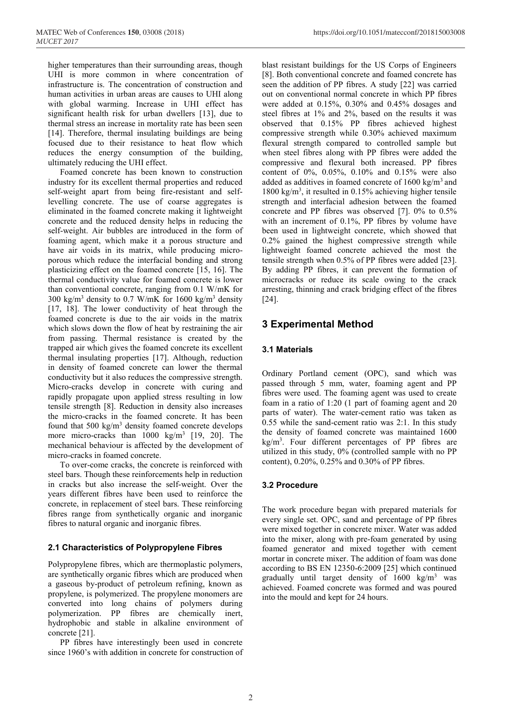higher temperatures than their surrounding areas, though UHI is more common in where concentration of infrastructure is. The concentration of construction and human activities in urban areas are causes to UHI along with global warming. Increase in UHI effect has significant health risk for urban dwellers [13], due to thermal stress an increase in mortality rate has been seen [14]. Therefore, thermal insulating buildings are being focused due to their resistance to heat flow which reduces the energy consumption of the building, ultimately reducing the UHI effect.

Foamed concrete has been known to construction industry for its excellent thermal properties and reduced self-weight apart from being fire-resistant and selflevelling concrete. The use of coarse aggregates is eliminated in the foamed concrete making it lightweight concrete and the reduced density helps in reducing the self-weight. Air bubbles are introduced in the form of foaming agent, which make it a porous structure and have air voids in its matrix, while producing microporous which reduce the interfacial bonding and strong plasticizing effect on the foamed concrete [15, 16]. The thermal conductivity value for foamed concrete is lower than conventional concrete, ranging from 0.1 W/mK for 300 kg/m<sup>3</sup> density to 0.7 W/mK for 1600 kg/m<sup>3</sup> density [17, 18]. The lower conductivity of heat through the foamed concrete is due to the air voids in the matrix which slows down the flow of heat by restraining the air from passing. Thermal resistance is created by the trapped air which gives the foamed concrete its excellent thermal insulating properties [17]. Although, reduction in density of foamed concrete can lower the thermal conductivity but it also reduces the compressive strength. Micro-cracks develop in concrete with curing and rapidly propagate upon applied stress resulting in low tensile strength [8]. Reduction in density also increases the micro-cracks in the foamed concrete. It has been found that  $500 \text{ kg/m}^3$  density foamed concrete develops more micro-cracks than  $1000 \text{ kg/m}^3$  [19, 20]. The mechanical behaviour is affected by the development of micro-cracks in foamed concrete.

To over-come cracks, the concrete is reinforced with steel bars. Though these reinforcements help in reduction in cracks but also increase the self-weight. Over the years different fibres have been used to reinforce the concrete, in replacement of steel bars. These reinforcing fibres range from synthetically organic and inorganic fibres to natural organic and inorganic fibres.

#### **2.1 Characteristics of Polypropylene Fibres**

Polypropylene fibres, which are thermoplastic polymers, are synthetically organic fibres which are produced when a gaseous by-product of petroleum refining, known as propylene, is polymerized. The propylene monomers are converted into long chains of polymers during polymerization. PP fibres are chemically inert, hydrophobic and stable in alkaline environment of concrete [21].

PP fibres have interestingly been used in concrete since 1960's with addition in concrete for construction of blast resistant buildings for the US Corps of Engineers [8]. Both conventional concrete and foamed concrete has seen the addition of PP fibres. A study [22] was carried out on conventional normal concrete in which PP fibres were added at 0.15%, 0.30% and 0.45% dosages and steel fibres at 1% and 2%, based on the results it was observed that 0.15% PP fibres achieved highest compressive strength while 0.30% achieved maximum flexural strength compared to controlled sample but when steel fibres along with PP fibres were added the compressive and flexural both increased. PP fibres content of 0%, 0.05%, 0.10% and 0.15% were also added as additives in foamed concrete of  $1600 \text{ kg/m}^3$  and 1800 kg/m3 , it resulted in 0.15% achieving higher tensile strength and interfacial adhesion between the foamed concrete and PP fibres was observed [7]. 0% to 0.5% with an increment of 0.1%, PP fibres by volume have been used in lightweight concrete, which showed that 0.2% gained the highest compressive strength while lightweight foamed concrete achieved the most the tensile strength when 0.5% of PP fibres were added [23]. By adding PP fibres, it can prevent the formation of microcracks or reduce its scale owing to the crack arresting, thinning and crack bridging effect of the fibres [24].

# **3 Experimental Method**

## **3.1 Materials**

Ordinary Portland cement (OPC), sand which was passed through 5 mm, water, foaming agent and PP fibres were used. The foaming agent was used to create foam in a ratio of 1:20 (1 part of foaming agent and 20 parts of water). The water-cement ratio was taken as 0.55 while the sand-cement ratio was 2:1. In this study the density of foamed concrete was maintained 1600  $kg/m<sup>3</sup>$ . Four different percentages of PP fibres are utilized in this study, 0% (controlled sample with no PP content), 0.20%, 0.25% and 0.30% of PP fibres.

## **3.2 Procedure**

The work procedure began with prepared materials for every single set. OPC, sand and percentage of PP fibres were mixed together in concrete mixer. Water was added into the mixer, along with pre-foam generated by using foamed generator and mixed together with cement mortar in concrete mixer. The addition of foam was done according to BS EN 12350-6:2009 [25] which continued gradually until target density of  $1600 \text{ kg/m}^3$  was achieved. Foamed concrete was formed and was poured into the mould and kept for 24 hours.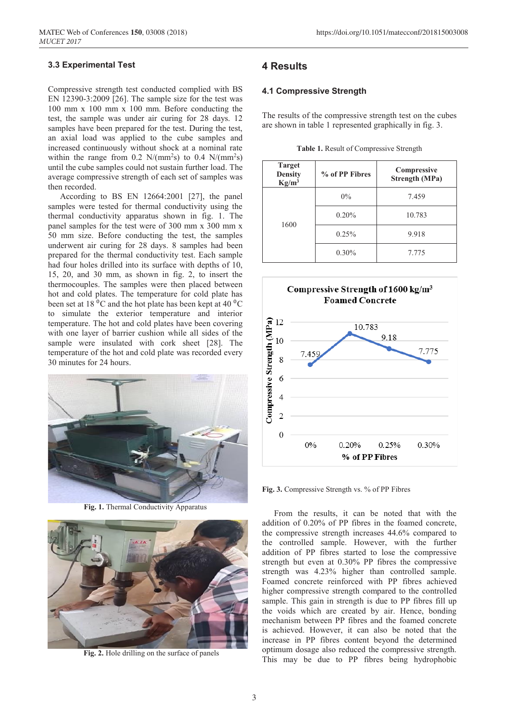#### **3.3 Experimental Test**

Compressive strength test conducted complied with BS EN 12390-3:2009 [26]. The sample size for the test was 100 mm x 100 mm x 100 mm. Before conducting the test, the sample was under air curing for 28 days. 12 samples have been prepared for the test. During the test, an axial load was applied to the cube samples and increased continuously without shock at a nominal rate within the range from  $0.2 \text{ N/(mm}^2\text{s})$  to  $0.4 \text{ N/(mm}^2\text{s})$ until the cube samples could not sustain further load. The average compressive strength of each set of samples was then recorded.

According to BS EN 12664:2001 [27], the panel samples were tested for thermal conductivity using the thermal conductivity apparatus shown in fig. 1. The panel samples for the test were of 300 mm x 300 mm x 50 mm size. Before conducting the test, the samples underwent air curing for 28 days. 8 samples had been prepared for the thermal conductivity test. Each sample had four holes drilled into its surface with depths of 10, 15, 20, and 30 mm, as shown in fig. 2, to insert the thermocouples. The samples were then placed between hot and cold plates. The temperature for cold plate has been set at  $18\textsuperscript{0}$ C and the hot plate has been kept at 40  $\textsuperscript{0}$ C to simulate the exterior temperature and interior temperature. The hot and cold plates have been covering with one layer of barrier cushion while all sides of the sample were insulated with cork sheet [28]. The temperature of the hot and cold plate was recorded every 30 minutes for 24 hours.



**Fig. 1.** Thermal Conductivity Apparatus



**Fig. 2.** Hole drilling on the surface of panels

## **4 Results**

#### **4.1 Compressive Strength**

The results of the compressive strength test on the cubes are shown in table 1 represented graphically in fig. 3.

**Table 1.** Result of Compressive Strength

| <b>Target</b><br><b>Density</b><br>$Kg/m^3$ | % of PP Fibres | Compressive<br><b>Strength (MPa)</b> |
|---------------------------------------------|----------------|--------------------------------------|
| 1600                                        | $0\%$          | 7.459                                |
|                                             | 0.20%          | 10.783                               |
|                                             | 0.25%          | 9.918                                |
|                                             | $0.30\%$       | 7.775                                |



**Fig. 3.** Compressive Strength vs. % of PP Fibres

From the results, it can be noted that with the addition of 0.20% of PP fibres in the foamed concrete, the compressive strength increases 44.6% compared to the controlled sample. However, with the further addition of PP fibres started to lose the compressive strength but even at 0.30% PP fibres the compressive strength was 4.23% higher than controlled sample. Foamed concrete reinforced with PP fibres achieved higher compressive strength compared to the controlled sample. This gain in strength is due to PP fibres fill up the voids which are created by air. Hence, bonding mechanism between PP fibres and the foamed concrete is achieved. However, it can also be noted that the increase in PP fibres content beyond the determined optimum dosage also reduced the compressive strength. This may be due to PP fibres being hydrophobic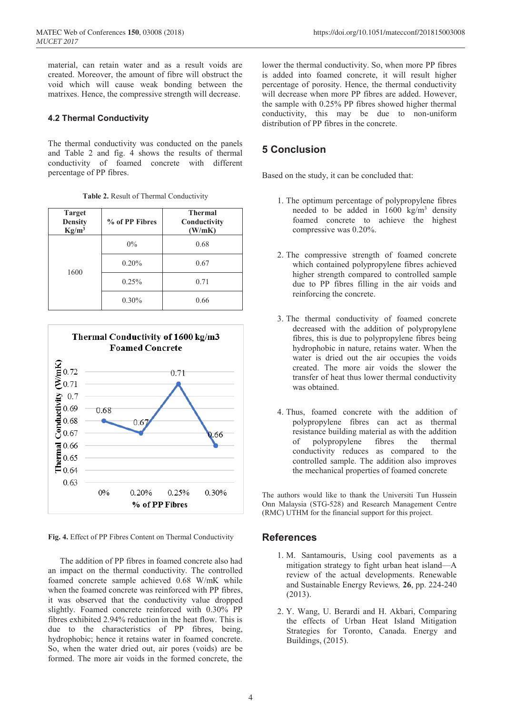material, can retain water and as a result voids are created. Moreover, the amount of fibre will obstruct the void which will cause weak bonding between the matrixes. Hence, the compressive strength will decrease.

#### **4.2 Thermal Conductivity**

The thermal conductivity was conducted on the panels and Table 2 and fig. 4 shows the results of thermal conductivity of foamed concrete with different percentage of PP fibres.

| <b>Target</b><br><b>Density</b><br>$Kg/m^3$ | % of PP Fibres | <b>Thermal</b><br>Conductivity<br>(W/mK) |
|---------------------------------------------|----------------|------------------------------------------|
| 1600                                        | $0\%$          | 0.68                                     |
|                                             | 0.20%          | 0.67                                     |
|                                             | 0.25%          | 0.71                                     |
|                                             | $0.30\%$       | 0.66                                     |

**Table 2.** Result of Thermal Conductivity



**Fig. 4.** Effect of PP Fibres Content on Thermal Conductivity

The addition of PP fibres in foamed concrete also had an impact on the thermal conductivity. The controlled foamed concrete sample achieved 0.68 W/mK while when the foamed concrete was reinforced with PP fibres, it was observed that the conductivity value dropped slightly. Foamed concrete reinforced with 0.30% PP fibres exhibited 2.94% reduction in the heat flow. This is due to the characteristics of PP fibres, being, hydrophobic; hence it retains water in foamed concrete. So, when the water dried out, air pores (voids) are be formed. The more air voids in the formed concrete, the

lower the thermal conductivity. So, when more PP fibres is added into foamed concrete, it will result higher percentage of porosity. Hence, the thermal conductivity will decrease when more PP fibres are added. However, the sample with 0.25% PP fibres showed higher thermal conductivity, this may be due to non-uniform distribution of PP fibres in the concrete.

# **5 Conclusion**

Based on the study, it can be concluded that:

- 1. The optimum percentage of polypropylene fibres needed to be added in 1600 kg/m3 density foamed concrete to achieve the highest compressive was 0.20%.
- 2. The compressive strength of foamed concrete which contained polypropylene fibres achieved higher strength compared to controlled sample due to PP fibres filling in the air voids and reinforcing the concrete.
- 3. The thermal conductivity of foamed concrete decreased with the addition of polypropylene fibres, this is due to polypropylene fibres being hydrophobic in nature, retains water. When the water is dried out the air occupies the voids created. The more air voids the slower the transfer of heat thus lower thermal conductivity was obtained.
- 4. Thus, foamed concrete with the addition of polypropylene fibres can act as thermal resistance building material as with the addition of polypropylene fibres the thermal conductivity reduces as compared to the controlled sample. The addition also improves the mechanical properties of foamed concrete

The authors would like to thank the Universiti Tun Hussein Onn Malaysia (STG-528) and Research Management Centre (RMC) UTHM for the financial support for this project.

## **References**

- 1. M. Santamouris, Using cool pavements as a mitigation strategy to fight urban heat island—A review of the actual developments. Renewable and Sustainable Energy Reviews*,* **26**, pp. 224-240 (2013).
- 2. Y. Wang, U. Berardi and H. Akbari, Comparing the effects of Urban Heat Island Mitigation Strategies for Toronto, Canada. Energy and Buildings, (2015).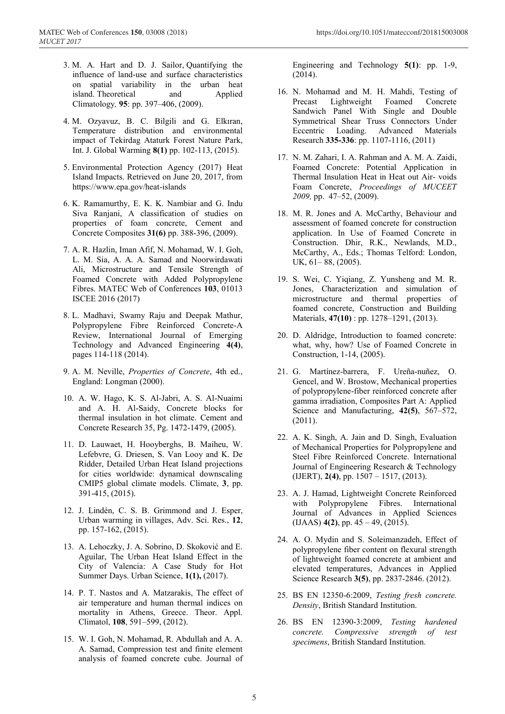- 3. M. A. Hart and D. J. Sailor, Quantifying the influence of land-use and surface characteristics on spatial variability in the urban heat island. Theoretical and Applied Climatology*,* **95**: pp. 397–406, (2009).
- 4. M. Ozyavuz, B. C. Bilgili and G. Elkıran, Temperature distribution and environmental impact of Tekirdag Ataturk Forest Nature Park, Int. J. Global Warming **8(1)** pp. 102-113, (2015).
- 5. Environmental Protection Agency (2017) Heat Island Impacts. Retrieved on June 20, 2017, from https://www.epa.gov/heat-islands
- 6. K. Ramamurthy, E. K. K. Nambiar and G. Indu Siva Ranjani, A classification of studies on properties of foam concrete, Cement and Concrete Composites **31(6)** pp. 388-396, (2009).
- 7. A. R. Hazlin, Iman Afif, N. Mohamad, W. I. Goh, L. M. Sia, A. A. A. Samad and Noorwirdawati Ali, Microstructure and Tensile Strength of Foamed Concrete with Added Polypropylene Fibres. MATEC Web of Conferences **103**, 01013 ISCEE 2016 (2017)
- 8. L. Madhavi, Swamy Raju and Deepak Mathur, Polypropylene Fibre Reinforced Concrete-A Review, International Journal of Emerging Technology and Advanced Engineering **4(4)**, pages 114-118 (2014).
- 9. A. M. Neville, *Properties of Concrete*, 4th ed., England: Longman (2000).
- 10. A. W. Hago, K. S. Al-Jabri, A. S. Al-Nuaimi and A. H. Al-Saidy, Concrete blocks for thermal insulation in hot climate. Cement and Concrete Research 35, Pg. 1472-1479, (2005).
- 11. D. Lauwaet, H. Hooyberghs, B. Maiheu, W. Lefebvre, G. Driesen, S. Van Looy and K. De Ridder, Detailed Urban Heat Island projections for cities worldwide: dynamical downscaling CMIP5 global climate models. Climate, **3**, pp. 391-415, (2015).
- 12. J. Lindén, C. S. B. Grimmond and J. Esper, Urban warming in villages, Adv. Sci. Res., **12**, pp. 157-162, (2015).
- 13. A. Lehoczky, J. A. Sobrino, D. Skoković and E. Aguilar, The Urban Heat Island Effect in the City of Valencia: A Case Study for Hot Summer Days. Urban Science, **1(1),** (2017).
- 14. P. T. Nastos and A. Matzarakis, The effect of air temperature and human thermal indices on mortality in Athens, Greece. Theor. Appl. Climatol, **108**, 591–599, (2012).
- 15. W. I. Goh, N. Mohamad, R. Abdullah and A. A. A. Samad, Compression test and finite element analysis of foamed concrete cube. Journal of

Engineering and Technology **5(1)**: pp. 1-9, (2014).

- 16. N. Mohamad and M. H. Mahdi, Testing of Precast Lightweight Foamed Concrete Sandwich Panel With Single and Double Symmetrical Shear Truss Connectors Under Eccentric Loading. Advanced Materials Research **335-336**: pp. 1107-1116, (2011)
- 17. N. M. Zahari, I. A. Rahman and A. M. A. Zaidi, Foamed Concrete: Potential Application in Thermal Insulation Heat in Heat out Air- voids Foam Concrete, *Proceedings of MUCEET 2009,* pp. 47–52, (2009).
- 18. M. R. Jones and A. McCarthy, Behaviour and assessment of foamed concrete for construction application. In Use of Foamed Concrete in Construction. Dhir, R.K., Newlands, M.D., McCarthy, A., Eds.; Thomas Telford: London, UK, 61– 88, (2005).
- 19. S. Wei, C. Yiqiang, Z. Yunsheng and M. R. Jones, Characterization and simulation of microstructure and thermal properties of foamed concrete, Construction and Building Materials, **47(10)** : pp. 1278–1291, (2013).
- 20. D. Aldridge, Introduction to foamed concrete: what, why, how? Use of Foamed Concrete in Construction, 1-14, (2005).
- 21. G. Martínez-barrera, F. Ureña-nuñez, O. Gencel, and W. Brostow, Mechanical properties of polypropylene-fiber reinforced concrete after gamma irradiation, Composites Part A: Applied Science and Manufacturing, **42(5)**, 567–572, (2011).
- 22. A. K. Singh, A. Jain and D. Singh, Evaluation of Mechanical Properties for Polypropylene and Steel Fibre Reinforced Concrete. International Journal of Engineering Research & Technology (IJERT), **2(4)**, pp. 1507 – 1517, (2013).
- 23. A. J. Hamad, Lightweight Concrete Reinforced with Polypropylene Fibres. International Journal of Advances in Applied Sciences (IJAAS) **4(2)**, pp. 45 – 49, (2015).
- 24. A. O. Mydin and S. Soleimanzadeh, Effect of polypropylene fiber content on flexural strength of lightweight foamed concrete at ambient and elevated temperatures, Advances in Applied Science Research **3(5)**, pp. 2837-2846. (2012).
- 25. BS EN 12350-6:2009, *Testing fresh concrete. Density*, British Standard Institution.
- 26. BS EN 12390-3:2009, *Testing hardened concrete. Compressive strength of test specimens*, British Standard Institution.